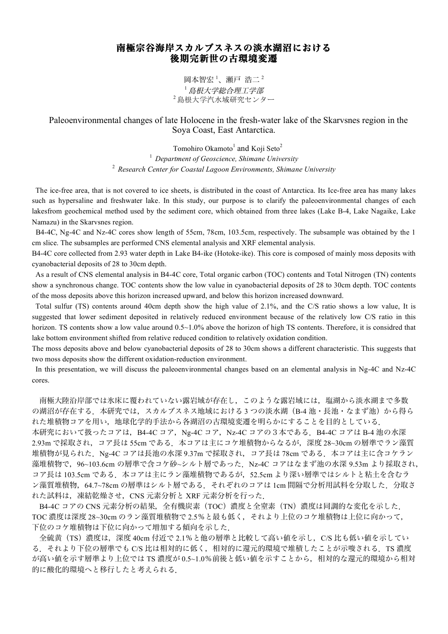## 南極宗谷海岸スカルブスネスの淡水湖沼における 後期完新世の古環境変遷

岡本智宏 $^{-1}$ 、瀬戸 浩二 $^{-2}$ <sup>1</sup> 島根大学総合理工学部 <sup>2</sup> 島根大学汽水域研究センター

Paleoenvironmental changes of late Holocene in the fresh-water lake of the Skarvsnes region in the Soya Coast, East Antarctica.

> Tomohiro Okamoto<sup>1</sup> and Koji Seto<sup>2</sup> <sup>1</sup> *Department of Geoscience, Shimane University* <sup>2</sup> *Research Center for Coastal Lagoon Environments, Shimane University*

 The ice-free area, that is not covered to ice sheets, is distributed in the coast of Antarctica. Its Ice-free area has many lakes such as hypersaline and freshwater lake. In this study, our purpose is to clarify the paleoenvironmental changes of each lakesfrom geochemical method used by the sediment core, which obtained from three lakes (Lake B-4, Lake Nagaike, Lake Namazu) in the Skarvsnes region.

B4-4C, Ng-4C and Nz-4C cores show length of 55cm, 78cm, 103.5cm, respectively. The subsample was obtained by the 1 cm slice. The subsamples are performed CNS elemental analysis and XRF elemental analysis.

B4-4C core collected from 2.93 water depth in Lake B4-ike (Hotoke-ike). This core is composed of mainly moss deposits with cyanobacterial deposits of 28 to 30cm depth.

 As a result of CNS elemental analysis in B4-4C core, Total organic carbon (TOC) contents and Total Nitrogen (TN) contents show a synchronous change. TOC contents show the low value in cyanobacterial deposits of 28 to 30cm depth. TOC contents of the moss deposits above this horizon increased upward, and below this horizon increased downward.

 Total sulfur (TS) contents around 40cm depth show the high value of 2.1%, and the C/S ratio shows a low value, It is suggested that lower sediment deposited in relatively reduced environment because of the relatively low C/S ratio in this horizon. TS contents show a low value around  $0.5 \sim 1.0\%$  above the horizon of high TS contents. Therefore, it is considred that lake bottom environment shifted from relative reduced condition to relatively oxidation condition.

The moss deposits above and below cyanobacterial deposits of 28 to 30cm shows a different characteristic. This suggests that two moss deposits show the different oxidation-reduction environment.

In this presentation, we will discuss the paleoenvironmental changes based on an elemental analysis in Ng-4C and Nz-4C cores.

南極大陸沿岸部では氷床に覆われていない露岩域が存在し,このような露岩域には,塩湖から淡水湖まで多数 の湖沼が存在する. 本研究では、スカルブスネス地域における 3 つの淡水湖 (B-4 池・長池・なまず池) から得ら れた堆積物コアを用い,地球化学的手法から各湖沼の古環境変遷を明らかにすることを目的としている. 本研究において扱ったコアは,B4-4C コア,Ng-4C コア,Nz-4C コアの3本である.B4-4C コアは B-4 池の水深 2.93m で採取され、コア長は 55cm である. 本コアは主にコケ堆積物からなるが,深度 28~30cm の層準でラン藻質 堆積物が見られた. Ng-4C コアは長池の水深 9.37m で採取され、コア長は 78cm である. 本コアは主に含コケラン 藻堆積物で, 96~103.6cm の層準で含コケ砂~シルト層であった. Nz-4C コアはなまず池の水深 9.53m より採取され, コア長は 103.5cm である. 本コアは主にラン藻堆積物であるが, 52.5cm より深い層準ではシルトと粘土を含むラ ン藻質堆積物, 64.7~78cm の層準はシルト層である. それぞれのコアは 1cm 間隔で分析用試料を分取した. 分取さ れた試料は,凍結乾燥させ,CNS 元素分析と XRF 元素分析を行った.

B4-4C コアの CNS 元素分析の結果, 全有機炭素 (TOC)濃度と全窒素 (TN) 濃度は同調的な変化を示した. TOC 濃度は深度 28~30cm のラン藻質堆積物で 2.5%と最も低く,それより上位のコケ堆積物は上位に向かって, 下位のコケ堆積物は下位に向かって増加する傾向を示した.

全硫黄(TS)濃度は,深度 40cm 付近で 2.1%と他の層準と比較して高い値を示し,C/S 比も低い値を示してい る.それより下位の層準でも C/S 比は相対的に低く,相対的に還元的環境で堆積したことが示唆される.TS 濃度 が高い値を示す層準より上位では TS 濃度が 0.5~1.0%前後と低い値を示すことから,相対的な還元的環境から相対 的に酸化的環境へと移行したと考えられる.